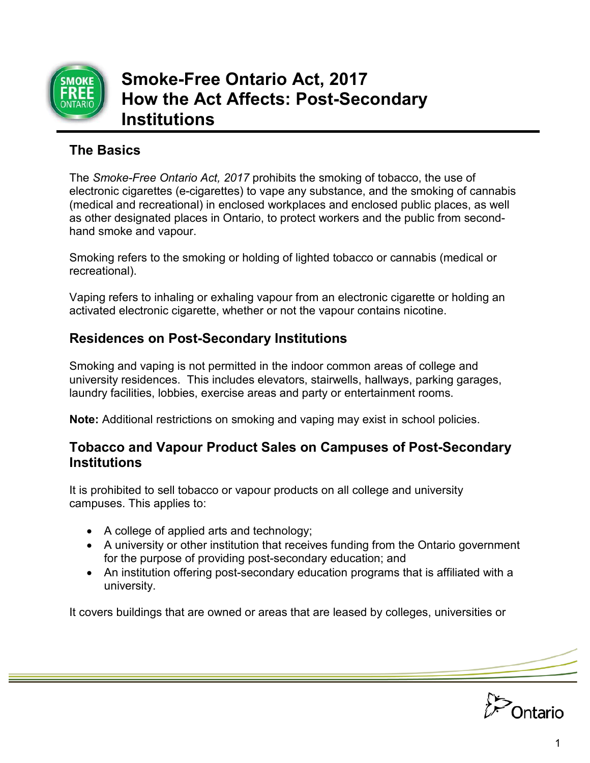

# **The Basics**

The *Smoke-Free Ontario Act, 2017* prohibits the smoking of tobacco, the use of electronic cigarettes (e-cigarettes) to vape any substance, and the smoking of cannabis (medical and recreational) in enclosed workplaces and enclosed public places, as well as other designated places in Ontario, to protect workers and the public from secondhand smoke and vapour.

Smoking refers to the smoking or holding of lighted tobacco or cannabis (medical or recreational).

Vaping refers to inhaling or exhaling vapour from an electronic cigarette or holding an activated electronic cigarette, whether or not the vapour contains nicotine.

# **Residences on Post-Secondary Institutions**

Smoking and vaping is not permitted in the indoor common areas of college and university residences. This includes elevators, stairwells, hallways, parking garages, laundry facilities, lobbies, exercise areas and party or entertainment rooms.

**Note:** Additional restrictions on smoking and vaping may exist in school policies.

#### **Tobacco and Vapour Product Sales on Campuses of Post-Secondary Institutions**

It is prohibited to sell tobacco or vapour products on all college and university campuses. This applies to:

- A college of applied arts and technology;
- A university or other institution that receives funding from the Ontario government for the purpose of providing post-secondary education; and
- An institution offering post-secondary education programs that is affiliated with a university.

It covers buildings that are owned or areas that are leased by colleges, universities or

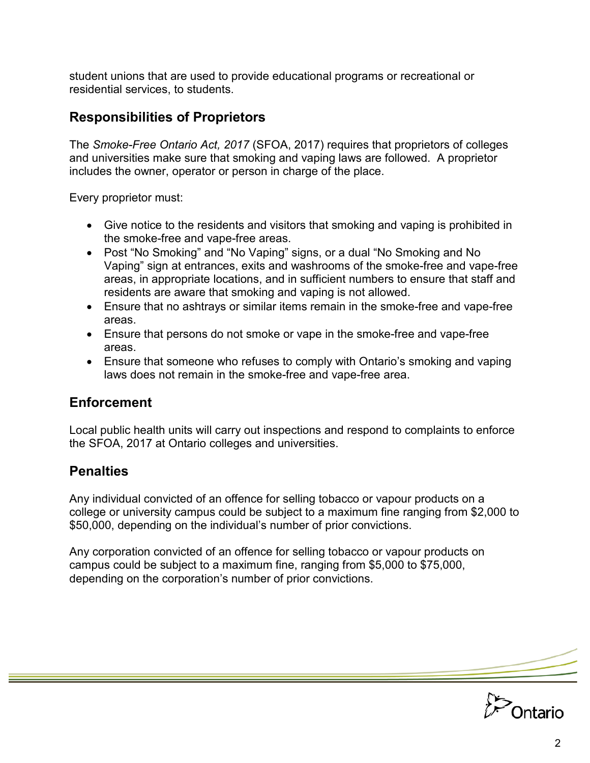student unions that are used to provide educational programs or recreational or residential services, to students.

#### **Responsibilities of Proprietors**

The *Smoke-Free Ontario Act, 2017* (SFOA, 2017) requires that proprietors of colleges and universities make sure that smoking and vaping laws are followed. A proprietor includes the owner, operator or person in charge of the place.

Every proprietor must:

- Give notice to the residents and visitors that smoking and vaping is prohibited in the smoke-free and vape-free areas.
- Post "No Smoking" and "No Vaping" signs, or a dual "No Smoking and No Vaping" sign at entrances, exits and washrooms of the smoke-free and vape-free areas, in appropriate locations, and in sufficient numbers to ensure that staff and residents are aware that smoking and vaping is not allowed.
- Ensure that no ashtrays or similar items remain in the smoke-free and vape-free areas.
- Ensure that persons do not smoke or vape in the smoke-free and vape-free areas.
- Ensure that someone who refuses to comply with Ontario's smoking and vaping laws does not remain in the smoke-free and vape-free area.

### **Enforcement**

Local public health units will carry out inspections and respond to complaints to enforce the SFOA, 2017 at Ontario colleges and universities.

# **Penalties**

Any individual convicted of an offence for selling tobacco or vapour products on a college or university campus could be subject to a maximum fine ranging from \$2,000 to \$50,000, depending on the individual's number of prior convictions.

Any corporation convicted of an offence for selling tobacco or vapour products on campus could be subject to a maximum fine, ranging from \$5,000 to \$75,000, depending on the corporation's number of prior convictions.